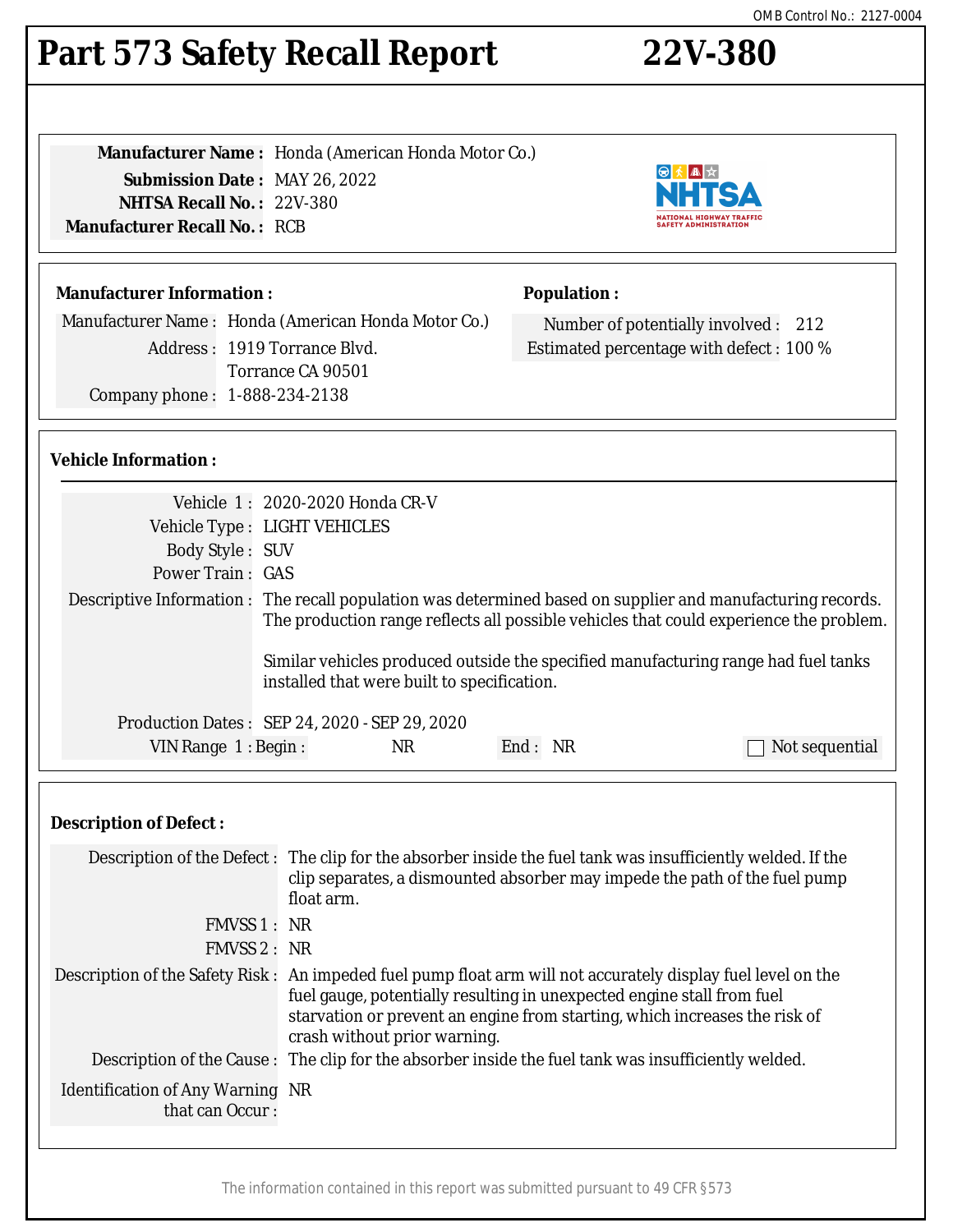# **Part 573 Safety Recall Report 22V-380**

**Manufacturer Name :** Honda (American Honda Motor Co.) **Submission Date :** MAY 26, 2022 **NHTSA Recall No. :** 22V-380 **Manufacturer Recall No. :** RCB

## **Manufacturer Information :**

Manufacturer Name : Honda (American Honda Motor Co.) Address : 1919 Torrance Blvd. Torrance CA 90501 Company phone : 1-888-234-2138

## **Population :**

Number of potentially involved : 212 Estimated percentage with defect : 100 %

◎大▲☆ NHT

NATIONAL HIGHWAY TRAFFIC<br>SAFETY ADMINISTRATION

## **Vehicle Information :**

|                       | Vehicle 1: 2020-2020 Honda CR-V                                                                                                                                                                                                                                                                                                            |         |                |
|-----------------------|--------------------------------------------------------------------------------------------------------------------------------------------------------------------------------------------------------------------------------------------------------------------------------------------------------------------------------------------|---------|----------------|
|                       | Vehicle Type : LIGHT VEHICLES                                                                                                                                                                                                                                                                                                              |         |                |
| Body Style: SUV       |                                                                                                                                                                                                                                                                                                                                            |         |                |
| Power Train: GAS      |                                                                                                                                                                                                                                                                                                                                            |         |                |
|                       | Descriptive Information : The recall population was determined based on supplier and manufacturing records.<br>The production range reflects all possible vehicles that could experience the problem.<br>Similar vehicles produced outside the specified manufacturing range had fuel tanks<br>installed that were built to specification. |         |                |
|                       | Production Dates: SEP 24, 2020 - SEP 29, 2020                                                                                                                                                                                                                                                                                              |         |                |
| VIN Range $1:$ Begin: | NR.                                                                                                                                                                                                                                                                                                                                        | End: NR | Not sequential |

#### **Description of Defect :**

|                                                            | Description of the Defect: The clip for the absorber inside the fuel tank was insufficiently welded. If the<br>clip separates, a dismounted absorber may impede the path of the fuel pump<br>float arm.                                                                                              |
|------------------------------------------------------------|------------------------------------------------------------------------------------------------------------------------------------------------------------------------------------------------------------------------------------------------------------------------------------------------------|
| FMVSS 1 : NR                                               |                                                                                                                                                                                                                                                                                                      |
| FMVSS 2: NR                                                |                                                                                                                                                                                                                                                                                                      |
|                                                            | Description of the Safety Risk: An impeded fuel pump float arm will not accurately display fuel level on the<br>fuel gauge, potentially resulting in unexpected engine stall from fuel<br>starvation or prevent an engine from starting, which increases the risk of<br>crash without prior warning. |
|                                                            | Description of the Cause: The clip for the absorber inside the fuel tank was insufficiently welded.                                                                                                                                                                                                  |
| <b>Identification of Any Warning NR</b><br>that can Occur: |                                                                                                                                                                                                                                                                                                      |
|                                                            |                                                                                                                                                                                                                                                                                                      |

The information contained in this report was submitted pursuant to 49 CFR §573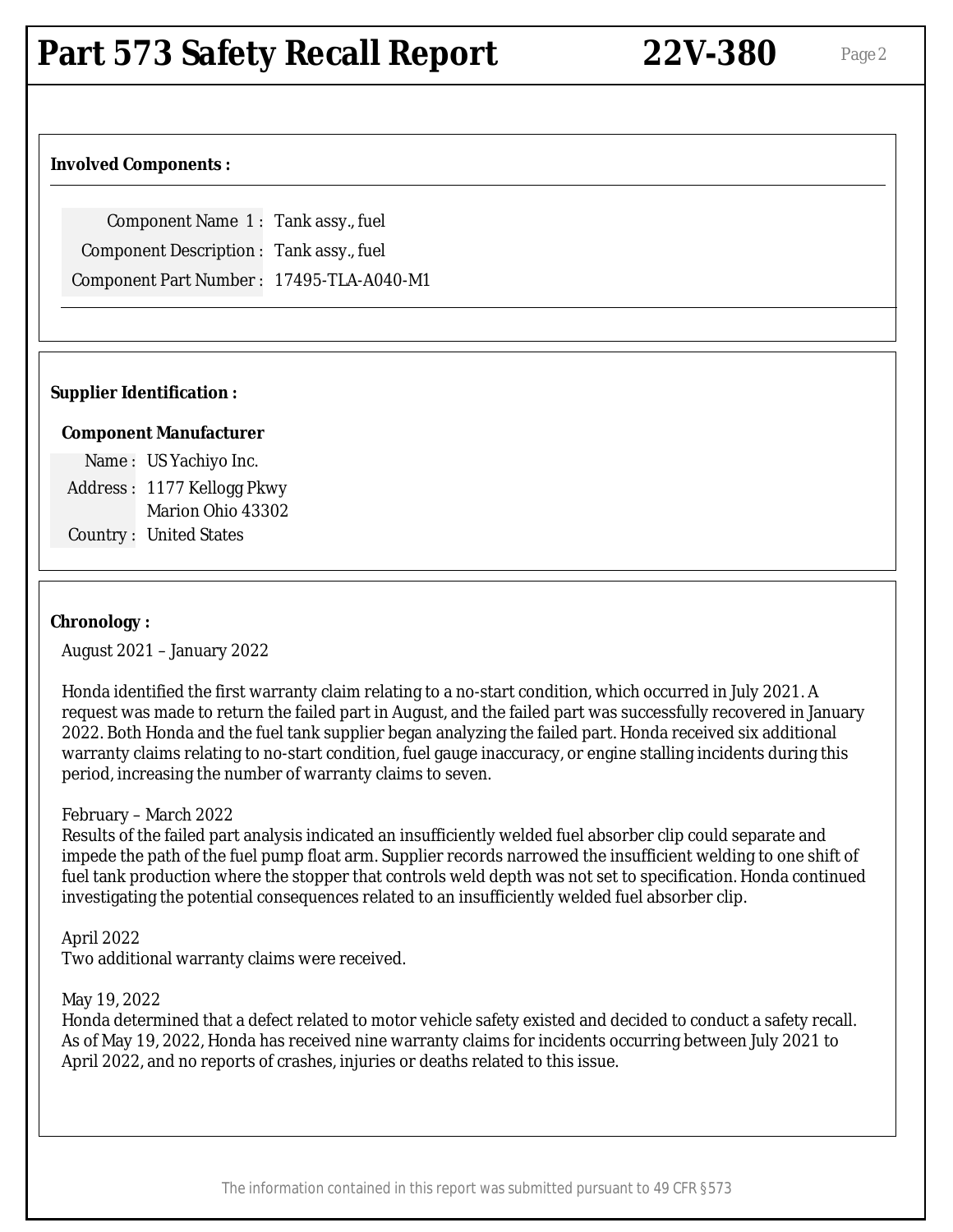## **Part 573 Safety Recall Report 22V-380** Page 2

## **Involved Components :**

Component Name 1 : Tank assy., fuel Component Description : Tank assy., fuel Component Part Number : 17495-TLA-A040-M1

## **Supplier Identification :**

## **Component Manufacturer**

Name : US Yachiyo Inc. Address : 1177 Kellogg Pkwy Marion Ohio 43302 Country : United States

## **Chronology :**

August 2021 – January 2022

Honda identified the first warranty claim relating to a no-start condition, which occurred in July 2021. A request was made to return the failed part in August, and the failed part was successfully recovered in January 2022. Both Honda and the fuel tank supplier began analyzing the failed part. Honda received six additional warranty claims relating to no-start condition, fuel gauge inaccuracy, or engine stalling incidents during this period, increasing the number of warranty claims to seven.

#### February – March 2022

Results of the failed part analysis indicated an insufficiently welded fuel absorber clip could separate and impede the path of the fuel pump float arm. Supplier records narrowed the insufficient welding to one shift of fuel tank production where the stopper that controls weld depth was not set to specification. Honda continued investigating the potential consequences related to an insufficiently welded fuel absorber clip.

April 2022

Two additional warranty claims were received.

#### May 19, 2022

Honda determined that a defect related to motor vehicle safety existed and decided to conduct a safety recall. As of May 19, 2022, Honda has received nine warranty claims for incidents occurring between July 2021 to April 2022, and no reports of crashes, injuries or deaths related to this issue.

The information contained in this report was submitted pursuant to 49 CFR §573